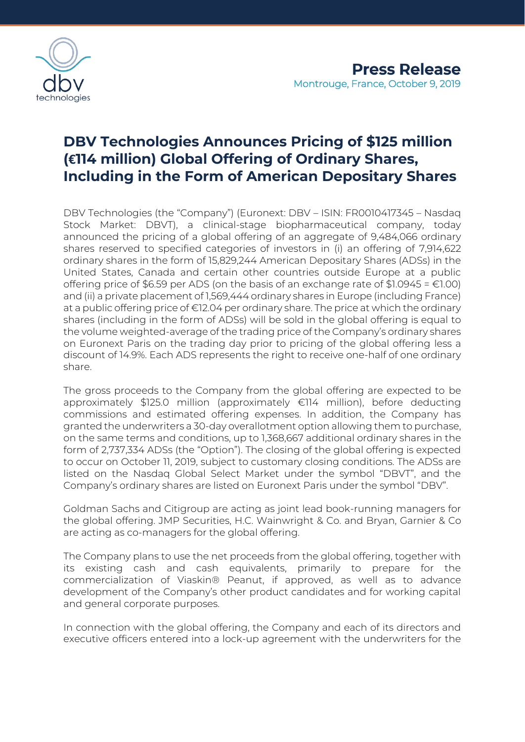

# **DBV Technologies Announces Pricing of \$125 million (€114 million) Global Offering of Ordinary Shares, Including in the Form of American Depositary Shares**

DBV Technologies (the "Company") (Euronext: DBV – ISIN: FR0010417345 – Nasdaq Stock Market: DBVT), a clinical-stage biopharmaceutical company, today announced the pricing of a global offering of an aggregate of 9,484,066 ordinary shares reserved to specified categories of investors in (i) an offering of 7,914,622 ordinary shares in the form of 15,829,244 American Depositary Shares (ADSs) in the United States, Canada and certain other countries outside Europe at a public offering price of \$6.59 per ADS (on the basis of an exchange rate of \$1.0945 =  $\epsilon$ 1.00) and (ii) a private placement of 1,569,444 ordinary shares in Europe (including France) at a public offering price of €12.04 per ordinary share. The price at which the ordinary shares (including in the form of ADSs) will be sold in the global offering is equal to the volume weighted-average of the trading price of the Company's ordinary shares on Euronext Paris on the trading day prior to pricing of the global offering less a discount of 14.9%. Each ADS represents the right to receive one-half of one ordinary share.

The gross proceeds to the Company from the global offering are expected to be approximately \$125.0 million (approximately €114 million), before deducting commissions and estimated offering expenses. In addition, the Company has granted the underwriters a 30-day overallotment option allowing them to purchase, on the same terms and conditions, up to 1,368,667 additional ordinary shares in the form of 2,737,334 ADSs (the "Option"). The closing of the global offering is expected to occur on October 11, 2019, subject to customary closing conditions. The ADSs are listed on the Nasdaq Global Select Market under the symbol "DBVT", and the Company's ordinary shares are listed on Euronext Paris under the symbol "DBV".

Goldman Sachs and Citigroup are acting as joint lead book-running managers for the global offering. JMP Securities, H.C. Wainwright & Co. and Bryan, Garnier & Co are acting as co-managers for the global offering.

The Company plans to use the net proceeds from the global offering, together with its existing cash and cash equivalents, primarily to prepare for the commercialization of Viaskin® Peanut, if approved, as well as to advance development of the Company's other product candidates and for working capital and general corporate purposes.

In connection with the global offering, the Company and each of its directors and executive officers entered into a lock-up agreement with the underwriters for the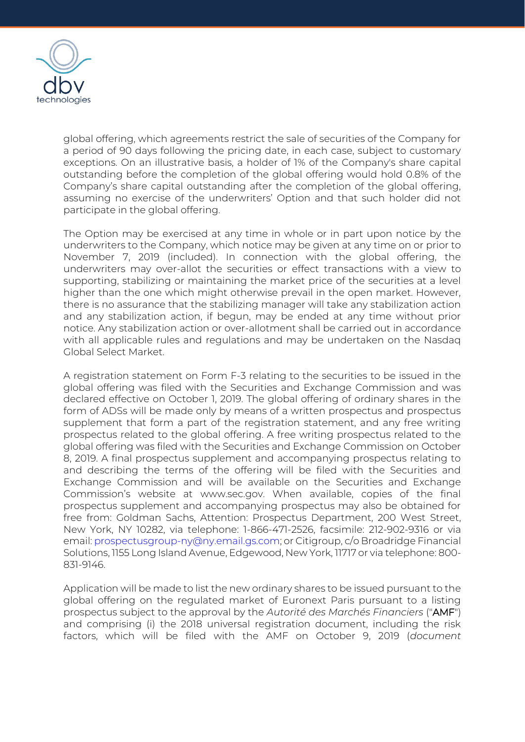

global offering, which agreements restrict the sale of securities of the Company for a period of 90 days following the pricing date, in each case, subject to customary exceptions. On an illustrative basis, a holder of 1% of the Company's share capital outstanding before the completion of the global offering would hold 0.8% of the Company's share capital outstanding after the completion of the global offering, assuming no exercise of the underwriters' Option and that such holder did not participate in the global offering.

The Option may be exercised at any time in whole or in part upon notice by the underwriters to the Company, which notice may be given at any time on or prior to November 7, 2019 (included). In connection with the global offering, the underwriters may over-allot the securities or effect transactions with a view to supporting, stabilizing or maintaining the market price of the securities at a level higher than the one which might otherwise prevail in the open market. However, there is no assurance that the stabilizing manager will take any stabilization action and any stabilization action, if begun, may be ended at any time without prior notice. Any stabilization action or over-allotment shall be carried out in accordance with all applicable rules and regulations and may be undertaken on the Nasdaq Global Select Market.

A registration statement on Form F-3 relating to the securities to be issued in the global offering was filed with the Securities and Exchange Commission and was declared effective on October 1, 2019. The global offering of ordinary shares in the form of ADSs will be made only by means of a written prospectus and prospectus supplement that form a part of the registration statement, and any free writing prospectus related to the global offering. A free writing prospectus related to the global offering was filed with the Securities and Exchange Commission on October 8, 2019. A final prospectus supplement and accompanying prospectus relating to and describing the terms of the offering will be filed with the Securities and Exchange Commission and will be available on the Securities and Exchange Commission's website at www.sec.gov. When available, copies of the final prospectus supplement and accompanying prospectus may also be obtained for free from: Goldman Sachs, Attention: Prospectus Department, 200 West Street, New York, NY 10282, via telephone: 1-866-471-2526, facsimile: 212-902-9316 or via email: prospectusgroup-ny@ny.email.gs.com; or Citigroup, c/o Broadridge Financial Solutions, 1155 Long Island Avenue, Edgewood, New York, 11717 or via telephone: 800- 831-9146.

Application will be made to list the new ordinary shares to be issued pursuant to the global offering on the regulated market of Euronext Paris pursuant to a listing prospectus subject to the approval by the *Autorité des Marchés Financiers* ("AMF") and comprising (i) the 2018 universal registration document, including the risk factors, which will be filed with the AMF on October 9, 2019 (*document*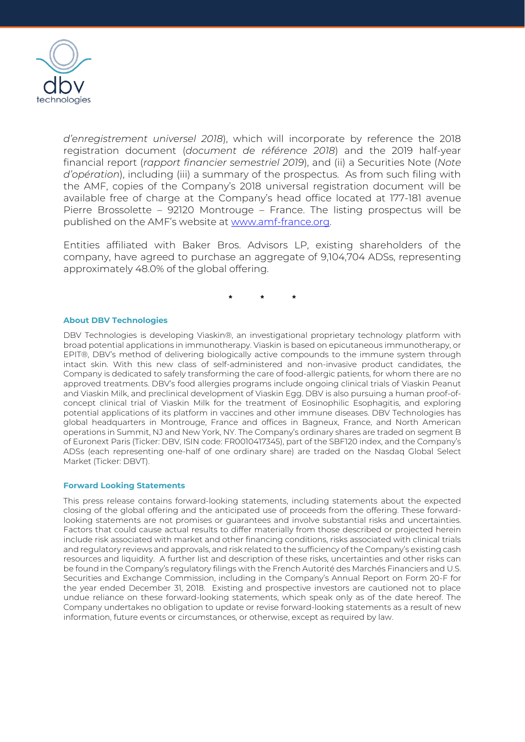

*d'enregistrement universel 2018*), which will incorporate by reference the 2018 registration document (*document de référence 2018*) and the 2019 half-year financial report (*rapport financier semestriel 2019*), and (ii) a Securities Note (*Note d'opération*), including (iii) a summary of the prospectus. As from such filing with the AMF, copies of the Company's 2018 universal registration document will be available free of charge at the Company's head office located at 177-181 avenue Pierre Brossolette – 92120 Montrouge – France. The listing prospectus will be published on the AMF's website at [www.amf-france.org.](http://www.amf-france.org/)

Entities affiliated with Baker Bros. Advisors LP, existing shareholders of the company, have agreed to purchase an aggregate of 9,104,704 ADSs, representing approximately 48.0% of the global offering.

**\* \* \***

## **About DBV Technologies**

DBV Technologies is developing Viaskin®, an investigational proprietary technology platform with broad potential applications in immunotherapy. Viaskin is based on epicutaneous immunotherapy, or EPIT®, DBV's method of delivering biologically active compounds to the immune system through intact skin. With this new class of self-administered and non-invasive product candidates, the Company is dedicated to safely transforming the care of food-allergic patients, for whom there are no approved treatments. DBV's food allergies programs include ongoing clinical trials of Viaskin Peanut and Viaskin Milk, and preclinical development of Viaskin Egg. DBV is also pursuing a human proof-ofconcept clinical trial of Viaskin Milk for the treatment of Eosinophilic Esophagitis, and exploring potential applications of its platform in vaccines and other immune diseases. DBV Technologies has global headquarters in Montrouge, France and offices in Bagneux, France, and North American operations in Summit, NJ and New York, NY. The Company's ordinary shares are traded on segment B of Euronext Paris (Ticker: DBV, ISIN code: FR0010417345), part of the SBF120 index, and the Company's ADSs (each representing one-half of one ordinary share) are traded on the Nasdaq Global Select Market (Ticker: DBVT).

#### **Forward Looking Statements**

This press release contains forward-looking statements, including statements about the expected closing of the global offering and the anticipated use of proceeds from the offering. These forwardlooking statements are not promises or guarantees and involve substantial risks and uncertainties. Factors that could cause actual results to differ materially from those described or projected herein include risk associated with market and other financing conditions, risks associated with clinical trials and regulatory reviews and approvals, and risk related to the sufficiency of the Company's existing cash resources and liquidity. A further list and description of these risks, uncertainties and other risks can be found in the Company's regulatory filings with the French Autorité des Marchés Financiers and U.S. Securities and Exchange Commission, including in the Company's Annual Report on Form 20-F for the year ended December 31, 2018. Existing and prospective investors are cautioned not to place undue reliance on these forward-looking statements, which speak only as of the date hereof. The Company undertakes no obligation to update or revise forward-looking statements as a result of new information, future events or circumstances, or otherwise, except as required by law.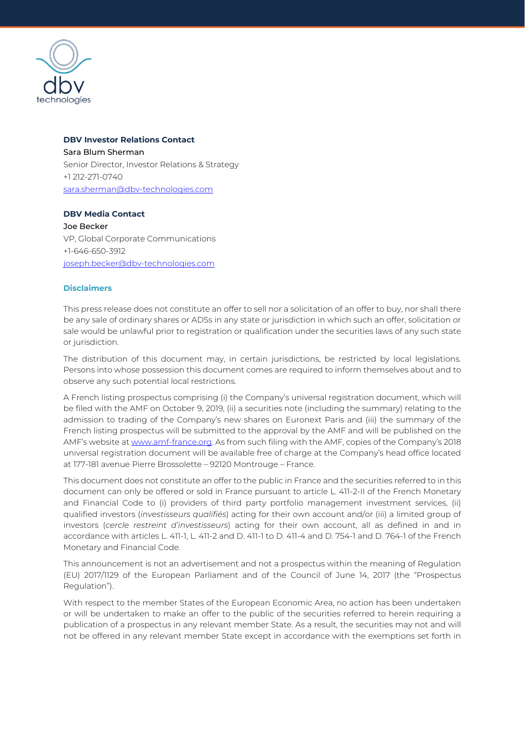

## **DBV Investor Relations Contact**

Sara Blum Sherman Senior Director, Investor Relations & Strategy +1 212-271-0740 [sara.sherman@dbv-technologies.com](mailto:sara.sherman@dbv-technologies.com)

## **DBV Media Contact**

Joe Becker VP, Global Corporate Communications +1-646-650-3912 [joseph.becker@dbv-technologies.com](mailto:joseph.becker@dbv-technologies.com)

## **Disclaimers**

This press release does not constitute an offer to sell nor a solicitation of an offer to buy, nor shall there be any sale of ordinary shares or ADSs in any state or jurisdiction in which such an offer, solicitation or sale would be unlawful prior to registration or qualification under the securities laws of any such state or jurisdiction.

The distribution of this document may, in certain jurisdictions, be restricted by local legislations. Persons into whose possession this document comes are required to inform themselves about and to observe any such potential local restrictions.

A French listing prospectus comprising (i) the Company's universal registration document, which will be filed with the AMF on October 9, 2019, (ii) a securities note (including the summary) relating to the admission to trading of the Company's new shares on Euronext Paris and (iii) the summary of the French listing prospectus will be submitted to the approval by the AMF and will be published on the AMF's website at [www.amf-france.org.](http://www.amf-france.org/) As from such filing with the AMF, copies of the Company's 2018 universal registration document will be available free of charge at the Company's head office located at 177-181 avenue Pierre Brossolette – 92120 Montrouge – France.

This document does not constitute an offer to the public in France and the securities referred to in this document can only be offered or sold in France pursuant to article L. 411-2-II of the French Monetary and Financial Code to (i) providers of third party portfolio management investment services, (ii) qualified investors (*investisseurs qualifiés*) acting for their own account and/or (iii) a limited group of investors (*cercle restreint d'investisseurs*) acting for their own account, all as defined in and in accordance with articles L. 411-1, L. 411-2 and D. 411-1 to D. 411-4 and D. 754-1 and D. 764-1 of the French Monetary and Financial Code.

This announcement is not an advertisement and not a prospectus within the meaning of Regulation (EU) 2017/1129 of the European Parliament and of the Council of June 14, 2017 (the "Prospectus Regulation").

With respect to the member States of the European Economic Area, no action has been undertaken or will be undertaken to make an offer to the public of the securities referred to herein requiring a publication of a prospectus in any relevant member State. As a result, the securities may not and will not be offered in any relevant member State except in accordance with the exemptions set forth in